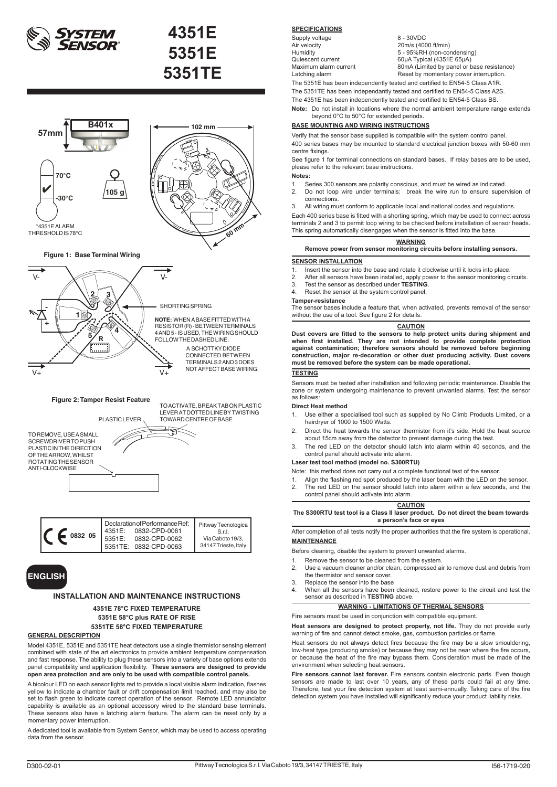



### **Figure 1: Base Terminal Wiring**





**Figure 2: Tamper Resist Feature**

SCREWDRIVER TO PUSH PLASTIC IN THE DIRECTION OF THE ARROW, WHILST ROTATING THE SENSOR ANTI-CLOCKWISE

TOWARD CENTRE OF BASE

## **ENGLISH**

### **INSTALLATION AND MAINTENANCE INSTRUCTIONS**

### **4351E 78°C FIXED TEMPERATURE 5351E 58°C plus RATE OF RISE 5351TE 58°C FIXED TEMPERATURE**

### **GENERAL DESCRIPTION**

Model 4351E, 5351E and 5351TE heat detectors use a single thermistor sensing element combined with state of the art electronics to provide ambient temperature compensation and fast response. The ability to plug these sensors into a variety of base options extends panel compatibility and application flexibility. **These sensors are designed to provide open area protection and are only to be used with compatible control panels.**

A bicolour LED on each sensor lights red to provide a local visible alarm indication, flashes yellow to indicate a chamber fault or drift compensation limit reached, and may also be set to flash green to indicate correct operation of the sensor. Remote LED annunciator capability is available as an optional accessory wired to the standard base terminals. These sensors also have a latching alarm feature. The alarm can be reset only by a momentary power interruption.

A dedicated tool is available from System Sensor, which may be used to access operating data from the sensor.

### **SPECIFICATIONS**

Supply voltage 8 - 30VDC<br>Air velocity 20m/s (400 Air velocity<br>
Air velocity<br>
Humidity<br>  $5 - 95%RH$  (non-correct)

Humidity  $5 - 95\%RH$  (non-condensing)<br>Cuiescent current 60uA Typical (4351E 65uA) Quiescent current 60μA Typical (4351E 65μA)<br>Maximum alarm current 80mA (Limited by panel or b Maximum alarm current 80mA (Limited by panel or base resistance)<br>
Latching alarm example Reset by momentary power interruption. Reset by momentary power interruption. The 5351E has been independently tested and certified to EN54-5 Class A1R.

The 5351TE has been independantly tested and certified to EN54-5 Class A2S. The 4351E has been independently tested and certified to EN54-5 Class BS.

**Note:** Do not install in locations where the normal ambient temperature range extends beyond 0°C to 50°C for extended periods.

### **BASE MOUNTING AND WIRING INSTRUCTIONS**

Verify that the sensor base supplied is compatible with the system control panel. 400 series bases may be mounted to standard electrical junction boxes with 50-60 mm centre fixings. See figure 1 for terminal connections on standard bases. If relay bases are to be used,

please refer to the relevant base instructions. **Notes:**

- 1. Series 300 sensors are polarity conscious, and must be wired as indicated.<br>2. Do not loop wire under terminals: break the wire run to ensure super
- Do not loop wire under terminals: break the wire run to ensure supervision of connections.
- 3. All wiring must conform to applicable local and national codes and regulations.

Each 400 series base is fitted with a shorting spring, which may be used to connect across terminals 2 and 3 to permit loop wiring to be checked before installation of sensor heads. This spring automatically disengages when the sensor is fitted into the base

### **WARNING**

**Remove power from sensor monitoring circuits before installing sensors.**

### **SENSOR INSTALLATION**

- 
- 1. Insert the sensor into the base and rotate it clockwise until it locks into place.<br>2. After all sensors have been installed, apply power to the sensor monitoring of 2. After all sensors have been installed, apply power to the sensor monitoring circuits.<br>3. Test the sensor as described under **TESTING**
- 3. Test the sensor as described under **TESTING**.
- 4. Reset the sensor at the system control panel.

### **Tamper-resistance**

The sensor bases include a feature that, when activated, prevents removal of the sensor without the use of a tool. See figure 2 for details.

### **CAUTION**

**Dust covers are fitted to the sensors to help protect units during shipment and when first installed. They are not intended to provide complete protection against contamination; therefore sensors should be removed before beginning construction, major re-decoration or other dust producing activity. Dust covers must be removed before the system can be made operational.**

### **TESTING**

Sensors must be tested after installation and following periodic maintenance. Disable the zone or system undergoing maintenance to prevent unwanted alarms. Test the sensor as follows:

### **Direct Heat method**

- 1. Use either a specialised tool such as supplied by No Climb Products Limited, or a hairdryer of 1000 to 1500 Watts.
- 2. Direct the heat towards the sensor thermistor from it's side. Hold the heat source about 15cm away from the detector to prevent damage during the test.
- 3. The red LED on the detector should latch into alarm within 40 seconds, and the control panel should activate into alarm.

### **Laser test tool method (model no. S300RTU)**

- Note: this method does not carry out a complete functional test of the sensor.
- 1. Align the flashing red spot produced by the laser beam with the LED on the sensor<br>2. The red LED on the sensor should latch into alarm within a few seconds, and the
- The red LED on the sensor should latch into alarm within a few seconds, and the control panel should activate into alarm.

**CAUTION The S300RTU test tool is a Class II laser product. Do not direct the beam towards a person's face or eyes**

After completion of all tests notify the proper authorities that the fire system is operational. **MAINTENANCE**

- Before cleaning, disable the system to prevent unwanted alarms.
- 1. Remove the sensor to be cleaned from the system.<br>2. Use a vacuum cleaner and/or clean, compressed a
- 2. Use a vacuum cleaner and/or clean, compressed air to remove dust and debris from the thermistor and sensor cover.
- 3. Replace the sensor into the base<br>4. When all the sensors have been
- When all the sensors have been cleaned, restore power to the circuit and test the sensor as described in **TESTING** above.

## **WARNING - LIMITATIONS OF THERMAL SENSORS**

Fire sensors must be used in conjunction with compatible equipment. **Heat sensors are designed to protect property, not life.** They do not provide early warning of fire and cannot detect smoke, gas, combustion particles or flame

Heat sensors do not always detect fires because the fire may be a slow smouldering, low-heat type (producing smoke) or because they may not be near where the fire occurs, or because the heat of the fire may bypass them. Consideration must be made of the environment when selecting heat sensors.

**Fire sensors cannot last forever.** Fire sensors contain electronic parts. Even though sensors are made to last over 10 years, any of these parts could fail at any time. Therefore, test your fire detection system at least semi-annually. Taking care of the fire detection system you have installed will significantly reduce your product liability risks.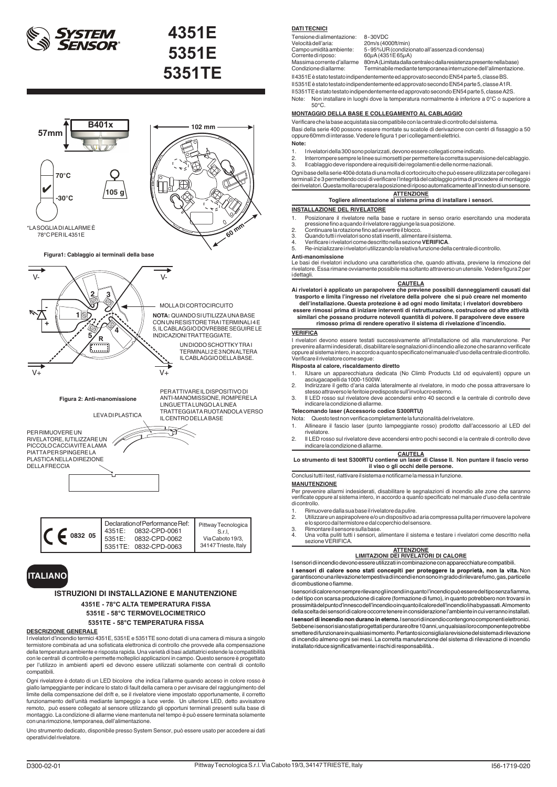



Declaration of Performance Ref: 4351E: 0832-CPD-0061 5351E: 0832-CPD-0062 5351TE: 0832-CPD-0063 Pittway Tecnologica S.r.l, Via Caboto 19/3, 34147 Trieste, Italy **0832 05**

## **ITALIANO**

### **ISTRUZIONI DI INSTALLAZIONE E MANUTENZIONE 4351E - 78°C ALTA TEMPERATURA FISSA 5351E - 58°C TERMOVELOCIMETRICO 5351TE - 58°C TEMPERATURA FISSA**

### **DESCRIZIONE GENERALE**

I rivelatori d'incendio termici 4351E, 5351E e 5351TE sono dotati di una camera di misura a singolo termistore combinata ad una sofisticata elettronica di controllo che provvede alla compensazione della temperatura ambiente e risposta rapida. Una varietà di basi adattatrici estende la compatibilità con le centrali di controllo e permette molteplici applicazioni in campo. Questo sensore è progettato per l'utilizzo in ambienti aperti ed devono essere utilizzati solamente con centrali di contollo compatibili.

Ogni rivelatore è dotato di un LED bicolore che indica l'allarme quando acceso in colore rosso è giallo lampeggiante per indicare lo stato di fault della camera o per avvisare del raggiungimento del limite della compensazione del drift e, se il rivelatore viene impostato opportunamente, il corretto funzionamento dell'unità mediante lampeggio a luce verde. Un ulteriore LED, detto avvisatore remoto, può essere collegato al sensore utilizzando gli opportuni terminali presenti sulla base di montaggio. La condizione di allarme viene mantenuta nel tempo è può essere terminata solamente con una rimozione, temporanea, dell'alimentazione.

Uno strumento dedicato, disponibile presso System Sensor, può essere usato per accedere ai dati operativi del rivelatore.

### **DATI TECNICI**

| Tensione di alimentazione: | 8-30VDC                                                               |
|----------------------------|-----------------------------------------------------------------------|
| Velocità dell'aria:        | 20m/s (4000ft/min)                                                    |
| Campo umidità ambiente:    | 5 - 95% UR (condizionato all'assenza di condensa)                     |
| Corrente di riposo:        | 60uA (4351E 65uA)                                                     |
| Massima corrente d'allarme | 80mA (Limitata dalla centrale o dalla resistenza presente nella base) |
| Condizione di allarme:     | Terminabile mediante temporanea interruzione dell'alimentazione.      |

Il 4351E è stato testato indipendentemente ed approvato secondo EN54 parte 5, classe BS.

Il 5351E è stato testato indipendentemente ed approvato secondo EN54 parte 5, classe A1R.

Il 5351TE è stato testato indipendentemente ed approvato secondo EN54 parte 5, classe A2S. Note: Non installare in luoghi dove la temperatura normalmente è inferiore a 0°C o superiore a 50°C.

### **MONTAGGIO DELLA BASE E COLLEGAMENTO AL CABLAGGIO**

Verificare che la base acquistata sia compatibile con la centrale di controllo del sistema. Basi della serie 400 possono essere montate su scatole di derivazione con centri di fissaggio a 50 oppure 60mm di interasse. Vedere le figura 1 per i collegamenti elettrici.

- **Note:**
- 1. I rivelatori della 300 sono polarizzati, devono essere collegati come indicato. 2. Interrompere sempre le linee sui morsetti per permettere la corretta supervisione del cablaggio.
- 
- 3. Il cablaggio deve rispondere ai requisiti dei regolamenti e delle norme nazionali.

Ogni base della serie 400è dotata di una molla di cortocircuito che può essere utilizzata per collegare i terminali 2 e 3 permettendo così di verificare l'integrità del cablaggio prima di procedere al montaggio dei rivelatori. Questa molla recupera la posizione di riposo automaticamente all'innesto di un sensore.

### **ATTENZIONE Togliere alimentazione al sistema prima di installare i sensori.**

### **INSTALLAZIONE DEL RIVELATORE**

- 1. Posizionare il rivelatore nella base e ruotare in senso orario esercitando una moderata pressione fino a quando il rivelatore raggiunge la sua posizione.<br>2. Continuare la rotazione fino ad avvertire il blocco.<br>3. Quando tutti i rivelatori sono stati inseriti, alimentare il sistema.
- - 4. Quando tutti i rivelatori sono stati inseriti, alimentare il sistema<br>4. Verificare i rivelatori come descritto nella sezione **VERIFICA**<br>5. Be-inizializzare i rivelatori utilizzando la relativa funzione dell
	- 5. Re-inizializzare i rivelatori utilizzando la relativa funzione della centrale di controllo.

### **Anti-manomissione**

Le basi dei rivelatori includono una caratteristica che, quando attivata, previene la rimozione del rivelatore. Essa rimane ovviamente possibile ma soltanto attraverso un utensile. Vedere figura 2 per i dettagli.

### **CAUTELA**

- **Ai rivelatori è applicato un parapolvere che previene possibili danneggiamenti causati dal trasporto e limita l'ingresso nel rivelatore della polvere che si può creare nel momento dell'installazione. Questa protezione è ad ogni modo limitata; i rivelatori dovrebbero**
- **essere rimossi prima di iniziare interventi di ristrutturazione, costruzione od altre attività similari che possano produrre notevoli quantità di polvere. Il parapolvere deve essere rimosso prima di rendere operativo il sistema di rivelazione d'incendio.**

### **VERIFICA**

I rivelatori devono essere testati successivamente all'installazione od alla manutenzione. Per prevenire allarmi indesiderati, disabilitare le segnalazioni di incendio alle zone che saranno verificate oppure al sistema intero, in accordo a quanto specificato nel manuale d'uso della centrale di controllo. Verificare il rivelatore come segue:

### **Risposta al calore, riscaldamento diretto**

- 1. IUsare un apparecchiatura dedicata (No Climb Products Ltd od equivalenti) oppure un asciugacapelli da 1000-1500W. 2. Indirizzare il getto d'aria calda lateralmente al rivelatore, in modo che possa attraversare lo
- 
- stesso attraverso le feritoie predisposte sull'involucro esterno. 3. Il LED rosso sul rivelatore deve accendersi entro 40 secondi e la centrale di controllo deve indicare la condizione di allarme.

### **Telecomando laser (Accessorio codice S300RTU)**

- Nota: Questo test non verifica completamente la funzionalità del rivelatore.
- 1. Allineare il fascio laser (punto lampeggiante rosso) prodotto dall'accessorio al LED del rivelatore.
- 2. Il LED rosso sul rivelatore deve accendersi entro pochi secondi e la centrale di controllo deve indicare la condizione di allarme.

### **CAUTELA Lo strumento di test S300RTU contiene un laser di Classe II. Non puntare il fascio verso il viso o gli occhi delle persone.**

Conclusi tutti i test, riattivare il sistema e notificarne la messa in funzione.

### **MANUTENZIONE**

Per prevenire allarmi indesiderati, disabilitare le segnalazioni di incendio alle zone che saranno verificate oppure al sistema intero, in accordo a quanto specificato nel manuale d'uso della centrale di controllo.

- 1. Rimuovere dalla sua base il rivelatore da pulire.<br>2. Utilizzare un aspirapolvere e/o un dispositivo a
- 2. Utilizzare un aspirapolvere e/o un dispositivo ad aria compressa pulita per rimuovere la polvere e lo sporco dal termistore e dal coperchio del sensore.
- 3. Rimontare il sensore sulla base.<br>4. Una volta puliti tutti i sensori, a 4. Una volta puliti tutti i sensori, alimentare il sistema e testare i rivelatori come descritto nella sezione VERIFICA.

## **ATTENZIONE LIMITAZIONI DEI RIVELATORI DI CALORE**

I sensori di incendio devono essere utilizzati in combinazione con apparecchiature compatibili.

**I sensori di calore sono stati concepiti per proteggere la proprietà, non la vita.** Non garantiscono una rilevazione tempestiva di incendi e non sono in grado di rilevare fumo, gas, particelle di combustione o fiamme.

I sensori di calore non sempre rilevano gli incendi in quanto l'incendio può essere del tipo senza fiamma, o del tipo con scarsa produzione di calore (formazione di fumo), in quanto potrebbero non trovarsi in prossimità del punto d'innesco dell'incendio o in quanto il calore dell'incendio li ha bypassati. Al momento della scelta dei sensori di calore occorre tenere in considerazione l'ambiente in cui verranno installati. **I sensori di incendio non durano in eterno.** I sensori di incendio contengono componenti elettronici. Sebbene i sensori siano stati progettati per durare oltre 10 anni, un qualsiasi loro componente potrebbe<br>smettere di funzionare in qualsiasi momento. Pertanto si consiglia la revisione del sistema di rilevazione di incendio almeno ogni sei mesi. La corretta manutenzione del sistema di rilevazione di incendio installato riduce significativamente i rischi di responsabilità..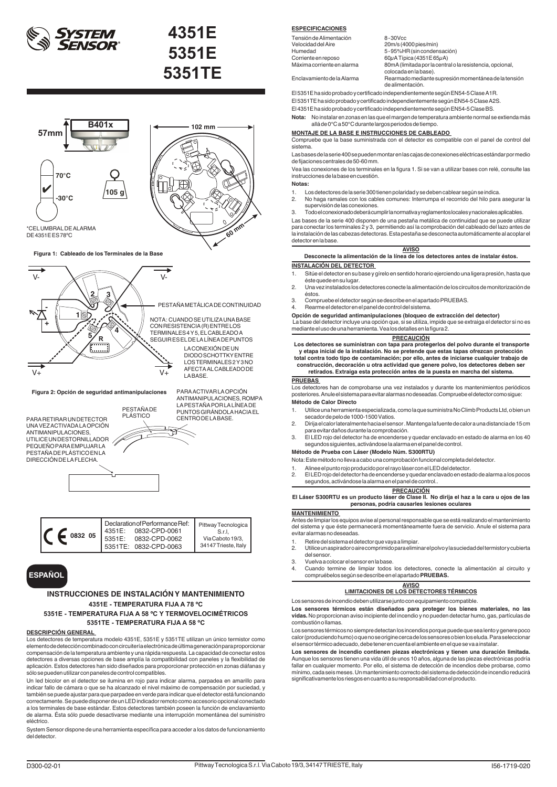



**Figura 1: Cableado de los Terminales de la Base** 



PARA RETIRAR UN DETECTOR UNA VEZ ACTIVADA LA OPCIÓN ANTIMANIPULACIONES, UTILICE UN DESTORNILLADOR PEQUEÑO PARA EMPUJAR LA PESTAÑA DE PLÁSTICO EN LA DIRECCIÓN DE LA FLECHA.

ANTIMANIPULACIONES, ROMPA LA PESTAÑA POR LA LÍNEA DE PUNTOS GIRÁNDOLA HACIA EL<br>CENTRO DE LA BASE



| 0832 05 | Declaration of Performance Ref:<br>0832-CPD-0061<br>4351E:<br>5351E:<br>0832-CPD-0062<br>5351TE: 0832-CPD-0063 | Pittway Tecnologica<br>S.r.l.<br>Via Caboto 19/3,<br>34147 Trieste, Italy |
|---------|----------------------------------------------------------------------------------------------------------------|---------------------------------------------------------------------------|
|---------|----------------------------------------------------------------------------------------------------------------|---------------------------------------------------------------------------|

## **ESPAÑOL**

### **INSTRUCCIONES DE INSTALACIÓN Y MANTENIMIENTO 4351E - TEMPERATURA FIJA A 78 ºC 5351E - TEMPERATURA FIJA A 58 ºC Y TERMOVELOCIMÉTRICOS**

**5351TE - TEMPERATURA FIJA A 58 ºC**

### **DESCRIPCIÓN GENERAL**

Los detectores de temperatura modelo 4351E, 5351E y 5351TE utilizan un único termistor como elemento de detección combinado con circuitería electrónica de última generación para proporcionar compensación de la temperatura ambiente y una rápida respuesta. La capacidad de conectar estos detectores a diversas opciones de base amplía la compatibilidad con paneles y la flexibilidad de aplicación. Estos detectores han sido diseñados para proporcionar protección en zonas diáfanas y sólo se pueden utilizar con paneles de control compatibles.

Un led bicolor en el detector se ilumina en rojo para indicar alarma, parpadea en amarillo para indicar fallo de cámara o que se ha alcanzado el nivel máximo de compensación por suciedad, y también se puede ajustar para que parpadee en verde para indicar que el detector está funcionando correctamente. Se puede disponer de un LED indicador remoto como accesorio opcional conectado a los terminales de base estándar. Estos detectores también poseen la función de enclavamiento de alarma. Ésta sólo puede desactivarse mediante una interrupción momentánea del suministro eléctrico.

System Sensor dispone de una herramienta específica para acceder a los datos de funcionamiento del detector.

### **ESPECIFICACIONES**

| Tensión de Alimentación    | $8 - 30$ Vcc                                                                       |
|----------------------------|------------------------------------------------------------------------------------|
| Velocidad del Aire         | 20m/s (4000 pies/min)                                                              |
| Humedad                    | 5-95%HR (sin condensación)                                                         |
| Corriente en reposo        | 60 $\mu$ A Típica (4351E 65 $\mu$ A)                                               |
| Máxima corriente en alarma | 80mA (limitada por la central o la resistencia, opcional,<br>colocada en la base). |
| Enclavamiento de la Alarma | Rearmado mediante supresión momentánea de la tensión<br>de alimentación.           |

El 5351E ha sido probado y certificado independientemente según EN54-5 Clase A1R.

El 5351TE ha sido probado y certificado independientemente según EN54-5 Clase A2S.

El 4351E ha sido probado y certificado independientemente según EN54-5 Clase BS.

**Nota:** No instalar en zonas en las que el margen de temperatura ambiente normal se extienda más allá de 0°C a 50°C durante largos periodos de tiempo.

### **MONTAJE DE LA BASE E INSTRUCCIONES DE CABLEADO**

Compruebe que la base suministrada con el detector es compatible con el panel de control del sistema.

Las bases de la serie 400 se pueden montar en las cajas de conexiones eléctricas estándar por medio de fijaciones centrales de 50-60 mm.

Vea las conexiones de los terminales en la figura 1. Si se van a utilizar bases con relé, consulte las instrucciones de la base en cuestión.

### **Notas:**

- 1. Los detectores de la serie 300 tienen polaridad y se deben cablear según se indica.
- 2. No haga ramales con los cables comunes: Interrumpa el recorrido del hilo para asegurar la supervisión de las conexiones.

3. Todo el conexionado deberá cumplir la normativa y reglamentos locales y nacionales aplicables.

Las bases de la serie 400 disponen de una pestaña metálica de continuidad que se puede utilizar para conectar los terminales 2 y 3, permitiendo así la comprobación del cableado del lazo antes de la instalación de las cabezas detectoras. Esta pestaña se desconecta automáticamente al acoplar el detector en la base.

**AVISO Desconecte la alimentación de la línea de los detectores antes de instalar éstos.**

### **INSTALACIÓN DEL DETECTOR**

- 1. Sitúe el detector en su base y gírelo en sentido horario ejerciendo una ligera presión, hasta que éste quede en su lugar.
- 2. Una vez instalados los detectores conecte la alimentación de los circuitos de monitorización de éstos.
- 3. Compruebe el detector según se describe en el apartado PRUEBAS. 4. Rearme el detector en el panel de control del sistema.
- 

**Opción de seguridad antimanipulaciones (bloqueo de extracción del detector)**

 La base del detector incluye una opción que, si se utiliza, impide que se extraiga el detector si no es mediante el uso de una herramienta. Vea los detalles en la figura 2.

### **PRECAUCIÓN**

 **Los detectores se suministran con tapa para protegerlos del polvo durante el transporte y etapa inicial de la instalación. No se pretende que estas tapas ofrezcan protección total contra todo tipo de contaminación; por ello, antes de iniciarse cualquier trabajo de construcción, decoración u otra actividad que genere polvo, los detectores deben ser** 

**retirados. Extraiga esta protección antes de la puesta en marcha del sistema.**

### **PRUEBAS**

Los detectores han de comprobarse una vez instalados y durante los mantenimientos periódicos posteriores. Anule el sistema para evitar alarmas no deseadas. Compruebe el detector como sigue:

### **Método de Calor Directo**

- 1. Utilice una herramienta especializada, como la que suministra No Climb Products Ltd, o bien un secador de pelo de 1000-1500 Vatios.
- 2. Dirija el calor lateralmente hacia el sensor . Mantenga la fuente de calor a una distancia de 15 cm para evitar daños durante la comprobación.
- 3. El LED rojo del detector ha de encenderse y quedar enclavado en estado de alarma en los 40 segundos siguientes, activándose la alarma en el panel de control.

### **Método de Prueba con Láser (Modelo Núm. S300RTU)**

Nota: Este método no lleva a cabo una comprobación funcional completa del detector.

- 
- 1. Alinee el punto rojo producido por el rayo láser con el LED del detector.<br>2. El LED rojo del detector ha de encenderse y quedar enclavado en esta 2. El LED rojo del detector ha de encenderse y quedar enclavado en estado de alarma a los pocos segundos, activándose la alarma en el panel de control..

### **PRECAUCIÓN**

**El Láser S300RTU es un producto láser de Clase II. No dirija el haz a la cara u ojos de las personas, podría causarles lesiones oculares**

### **MANTENIMIENTO**

Antes de limpiar los equipos avise al personal responsable que se está realizando el mantenimiento del sistema y que éste permanecerá momentáneamente fuera de servicio. Anule el sistema para evitar alarmas no deseadas.

- 
- 1. Retire del sistema el detector que vaya a limpiar. 2. Utilice un aspirador o aire comprimido para eliminar el polvo y la suciedad del termistor y cubierta del sensor.
- 3. Vuelva a colocar el sensor en la base.
- 4. Cuando termine de limpiar todos los detectores, conecte la alimentación al circuito y compruébelos según se describe en el apartado **PRUEBAS.**

### **AVISO LIMITACIONES DE LOS DETECTORES TÉRMICOS**

Los sensores de incendio deben utilizarse junto con equipamiento compatible. **Los sensores térmicos están diseñados para proteger los bienes materiales, no las vidas.** No proporcionan aviso incipiente del incendio y no pueden detectar humo, gas, partículas de combustión o llamas.

Los sensores térmicos no siempre detectan los incendios porque puede que sea lento y genere poco calor (produciendo humo) o que no se origine cerca de los sensores o bien los eluda. Para seleccionar el sensor térmico adecuado, debe tener en cuenta el ambiente en el que se va a instalar.

**Los sensores de incendio contienen piezas electrónicas y tienen una duración limitada.** Aunque los sensores tienen una vida útil de unos 10 años, alguna de las piezas electrónicas podría fallar en cualquier momento. Por ello, el sistema de detección de incendios debe probarse, como mínimo, cada seis meses. Un mantenimiento correcto del sistema de detección de incendio reducirá significativamente los riesgos en cuanto a su responsabilidad con el producto.